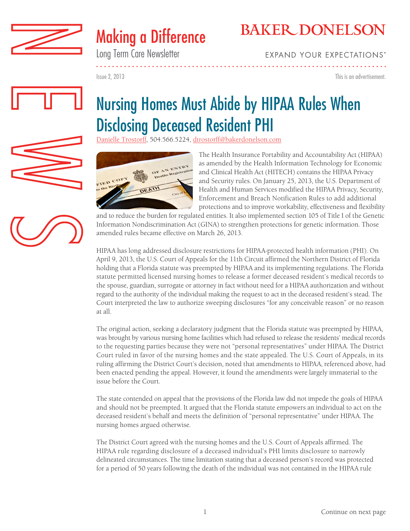



Long Term Care Newsletter

**EXPAND YOUR EXPECTATIONS®** 

Issue 2, 2013

This is an advertisement.

# Nursing Homes Must Abide by HIPAA Rules When Disclosing Deceased Resident PHI

[Danielle Trostorff,](http://www.bakerdonelson.com/danielle-trostorff/) 504.566.5224, dtrostorff@bakerdonelson.com



The Health Insurance Portability and Accountability Act (HIPAA) as amended by the Health Information Technology for Economic and Clinical Health Act (HITECH) contains the HIPAA Privacy and Security rules. On January 25, 2013, the U.S. Department of Health and Human Services modified the HIPAA Privacy, Security, Enforcement and Breach Notification Rules to add additional protections and to improve workability, effectiveness and flexibility

and to reduce the burden for regulated entities. It also implemented section 105 of Title I of the Genetic Information Nondiscrimination Act (GINA) to strengthen protections for genetic information. Those amended rules became effective on March 26, 2013.

HIPAA has long addressed disclosure restrictions for HIPAA-protected health information (PHI). On April 9, 2013, the U.S. Court of Appeals for the 11th Circuit affirmed the Northern District of Florida holding that a Florida statute was preempted by HIPAA and its implementing regulations. The Florida statute permitted licensed nursing homes to release a former deceased resident's medical records to the spouse, guardian, surrogate or attorney in fact without need for a HIPAA authorization and without regard to the authority of the individual making the request to act in the deceased resident's stead. The Court interpreted the law to authorize sweeping disclosures "for any conceivable reason" or no reason at all.

The original action, seeking a declaratory judgment that the Florida statute was preempted by HIPAA, was brought by various nursing home facilities which had refused to release the residents' medical records to the requesting parties because they were not "personal representatives" under HIPAA. The District Court ruled in favor of the nursing homes and the state appealed. The U.S. Court of Appeals, in its ruling affirming the District Court's decision, noted that amendments to HIPAA, referenced above, had been enacted pending the appeal. However, it found the amendments were largely immaterial to the issue before the Court.

The state contended on appeal that the provisions of the Florida law did not impede the goals of HIPAA and should not be preempted. It argued that the Florida statute empowers an individual to act on the deceased resident's behalf and meets the definition of "personal representative" under HIPAA. The nursing homes argued otherwise.

The District Court agreed with the nursing homes and the U.S. Court of Appeals affirmed. The HIPAA rule regarding disclosure of a deceased individual's PHI limits disclosure to narrowly delineated circumstances. The time limitation stating that a deceased person's record was protected for a period of 50 years following the death of the individual was not contained in the HIPAA rule

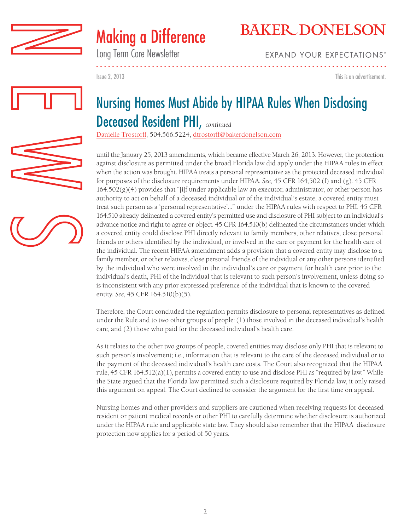



Long Term Care Newsletter

## **BAKER DONELSON**

**EXPAND YOUR EXPECTATIONS®** 

Issue 2, 2013 This is an advertisement.

### Nursing Homes Must Abide by HIPAA Rules When Disclosing Deceased Resident PHI, *continued*

[Danielle Trostorff,](http://www.bakerdonelson.com/danielle-trostorff/) 504.566.5224, dtrostorff@bakerdonelson.com

until the January 25, 2013 amendments, which became effective March 26, 2013. However, the protection against disclosure as permitted under the broad Florida law did apply under the HIPAA rules in effect when the action was brought. HIPAA treats a personal representative as the protected deceased individual for purposes of the disclosure requirements under HIPAA. *See*, 45 CFR 164,502 (f) and (g). 45 CFR  $164.502(g)(4)$  provides that "[i]f under applicable law an executor, administrator, or other person has authority to act on behalf of a deceased individual or of the individual's estate, a covered entity must treat such person as a 'personal representative'…" under the HIPAA rules with respect to PHI. 45 CFR 164.510 already delineated a covered entity's permitted use and disclosure of PHI subject to an individual's advance notice and right to agree or object. 45 CFR 164.510(b) delineated the circumstances under which a covered entity could disclose PHI directly relevant to family members, other relatives, close personal friends or others identified by the individual, or involved in the care or payment for the health care of the individual. The recent HIPAA amendment adds a provision that a covered entity may disclose to a family member, or other relatives, close personal friends of the individual or any other persons identified by the individual who were involved in the individual's care or payment for health care prior to the individual's death, PHI of the individual that is relevant to such person's involvement, unless doing so is inconsistent with any prior expressed preference of the individual that is known to the covered entity. *See*, 45 CFR 164.510(b)(5).

Therefore, the Court concluded the regulation permits disclosure to personal representatives as defined under the Rule and to two other groups of people: (1) those involved in the deceased individual's health care, and (2) those who paid for the deceased individual's health care.

As it relates to the other two groups of people, covered entities may disclose only PHI that is relevant to such person's involvement; i.e., information that is relevant to the care of the deceased individual or to the payment of the deceased individual's health care costs. The Court also recognized that the HIPAA rule, 45 CFR 164.512(a)(1), permits a covered entity to use and disclose PHI as "required by law." While the State argued that the Florida law permitted such a disclosure required by Florida law, it only raised this argument on appeal. The Court declined to consider the argument for the first time on appeal.

Nursing homes and other providers and suppliers are cautioned when receiving requests for deceased resident or patient medical records or other PHI to carefully determine whether disclosure is authorized under the HIPAA rule and applicable state law. They should also remember that the HIPAA disclosure protection now applies for a period of 50 years.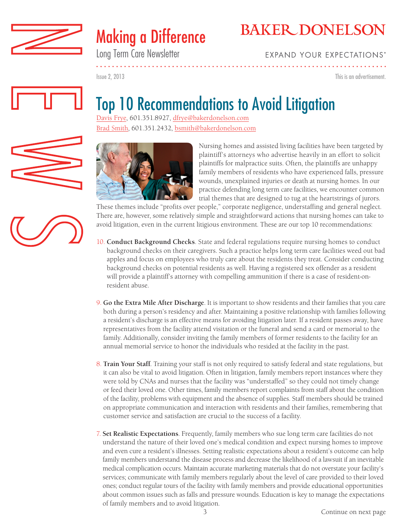

# Making a Difference

Long Term Care Newsletter

# **BAKER DONELSON**

**EXPAND YOUR EXPECTATIONS'** 

Issue 2, 2013

This is an advertisement.



# Top 10 Recommendations to Avoid Litigation

[Davis Frye,](http://www.bakerdonelson.com/william-davis-frye/) 601.351.8927, dfrye@bakerdonelson.com [Brad Smith](http://www.bakerdonelson.com/bradley-w-smith/), 601.351.2432, bsmith@bakerdonelson.com



Nursing homes and assisted living facilities have been targeted by plaintiff's attorneys who advertise heavily in an effort to solicit plaintiffs for malpractice suits. Often, the plaintiffs are unhappy family members of residents who have experienced falls, pressure wounds, unexplained injuries or death at nursing homes. In our practice defending long term care facilities, we encounter common trial themes that are designed to tug at the heartstrings of jurors.

These themes include "profits over people," corporate negligence, understaffing and general neglect. There are, however, some relatively simple and straightforward actions that nursing homes can take to avoid litigation, even in the current litigious environment. These are our top 10 recommendations:

- 10. **Conduct Background Checks**. State and federal regulations require nursing homes to conduct background checks on their caregivers. Such a practice helps long term care facilities weed out bad apples and focus on employees who truly care about the residents they treat. Consider conducting background checks on potential residents as well. Having a registered sex offender as a resident will provide a plaintiff's attorney with compelling ammunition if there is a case of resident-onresident abuse.
- 9. **Go the Extra Mile After Discharge**. It is important to show residents and their families that you care both during a person's residency and after. Maintaining a positive relationship with families following a resident's discharge is an effective means for avoiding litigation later. If a resident passes away, have representatives from the facility attend visitation or the funeral and send a card or memorial to the family. Additionally, consider inviting the family members of former residents to the facility for an annual memorial service to honor the individuals who resided at the facility in the past.
- 8. **Train Your Staff**. Training your staff is not only required to satisfy federal and state regulations, but it can also be vital to avoid litigation. Often in litigation, family members report instances where they were told by CNAs and nurses that the facility was "understaffed" so they could not timely change or feed their loved one. Other times, family members report complaints from staff about the condition of the facility, problems with equipment and the absence of supplies. Staff members should be trained on appropriate communication and interaction with residents and their families, remembering that customer service and satisfaction are crucial to the success of a facility.
- 7. **Set Realistic Expectations**. Frequently, family members who sue long term care facilities do not understand the nature of their loved one's medical condition and expect nursing homes to improve and even cure a resident's illnesses. Setting realistic expectations about a resident's outcome can help family members understand the disease process and decrease the likelihood of a lawsuit if an inevitable medical complication occurs. Maintain accurate marketing materials that do not overstate your facility's services; communicate with family members regularly about the level of care provided to their loved ones; conduct regular tours of the facility with family members and provide educational opportunities about common issues such as falls and pressure wounds. Education is key to manage the expectations of family members and to avoid litigation.

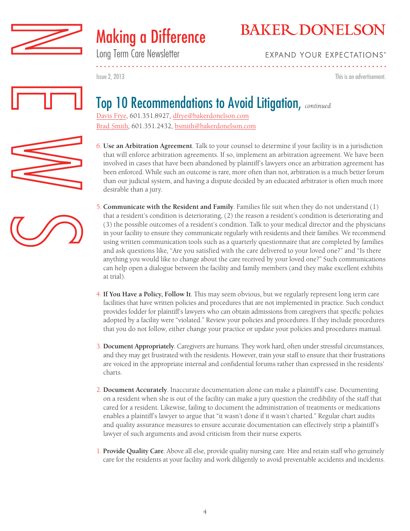

# Making a Difference

# **BAKER DONELSON**

Long Term Care Newsletter

### **EXPAND YOUR EXPECTATIONS'**

Issue 2, 2013 This is an advertisement.

### Top 10 Recommendations to Avoid Litigation, *continued*

[Davis Frye,](http://www.bakerdonelson.com/william-davis-frye/) 601.351.8927, dfrye@bakerdonelson.com [Brad Smith](http://www.bakerdonelson.com/bradley-w-smith/), 601.351.2432, bsmith@bakerdonelson.com

- 6. **Use an Arbitration Agreement**. Talk to your counsel to determine if your facility is in a jurisdiction that will enforce arbitration agreements. If so, implement an arbitration agreement. We have been involved in cases that have been abandoned by plaintiff's lawyers once an arbitration agreement has been enforced. While such an outcome is rare, more often than not, arbitration is a much better forum than our judicial system, and having a dispute decided by an educated arbitrator is often much more desirable than a jury.
- 5. **Communicate with the Resident and Family**. Families file suit when they do not understand (1) that a resident's condition is deteriorating, (2) the reason a resident's condition is deteriorating and (3) the possible outcomes of a resident's condition. Talk to your medical director and the physicians in your facility to ensure they communicate regularly with residents and their families. We recommend using written communication tools such as a quarterly questionnaire that are completed by families and ask questions like, "Are you satisfied with the care delivered to your loved one?" and "Is there anything you would like to change about the care received by your loved one?" Such communications can help open a dialogue between the facility and family members (and they make excellent exhibits at trial).
- 4. **If You Have a Policy, Follow It**. This may seem obvious, but we regularly represent long term care facilities that have written policies and procedures that are not implemented in practice. Such conduct provides fodder for plaintiff's lawyers who can obtain admissions from caregivers that specific policies adopted by a facility were "violated." Review your policies and procedures. If they include procedures that you do not follow, either change your practice or update your policies and procedures manual.
- 3. **Document Appropriately**. Caregivers are humans. They work hard, often under stressful circumstances, and they may get frustrated with the residents. However, train your staff to ensure that their frustrations are voiced in the appropriate internal and confidential forums rather than expressed in the residents' charts.
- 2. **Document Accurately**. Inaccurate documentation alone can make a plaintiff's case. Documenting on a resident when she is out of the facility can make a jury question the credibility of the staff that cared for a resident. Likewise, failing to document the administration of treatments or medications enables a plaintiff's lawyer to argue that "it wasn't done if it wasn't charted." Regular chart audits and quality assurance measures to ensure accurate documentation can effectively strip a plaintiff's lawyer of such arguments and avoid criticism from their nurse experts.
- 1. **Provide Quality Care**. Above all else, provide quality nursing care. Hire and retain staff who genuinely care for the residents at your facility and work diligently to avoid preventable accidents and incidents.



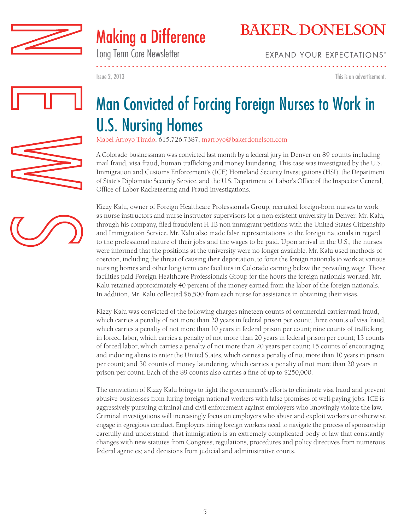



Long Term Care Newsletter

**EXPAND YOUR EXPECTATIONS'** 

Issue 2, 2013

This is an advertisement.



# Man Convicted of Forcing Foreign Nurses to Work in U.S. Nursing Homes

[Mabel Arroyo-Tirado,](http://www.bakerdonelson.com/mabel-arroyo/) 615.726.7387, marroyo@bakerdonelson.com

A Colorado businessman was convicted last month by a federal jury in Denver on 89 counts including mail fraud, visa fraud, human trafficking and money laundering. This case was investigated by the U.S. Immigration and Customs Enforcement's (ICE) Homeland Security Investigations (HSI), the Department of State's Diplomatic Security Service, and the U.S. Department of Labor's Office of the Inspector General, Office of Labor Racketeering and Fraud Investigations.

Kizzy Kalu, owner of Foreign Healthcare Professionals Group, recruited foreign-born nurses to work as nurse instructors and nurse instructor supervisors for a non-existent university in Denver. Mr. Kalu, through his company, filed fraudulent H-1B non-immigrant petitions with the United States Citizenship and Immigration Service. Mr. Kalu also made false representations to the foreign nationals in regard to the professional nature of their jobs and the wages to be paid. Upon arrival in the U.S., the nurses were informed that the positions at the university were no longer available. Mr. Kalu used methods of coercion, including the threat of causing their deportation, to force the foreign nationals to work at various nursing homes and other long term care facilities in Colorado earning below the prevailing wage. Those facilities paid Foreign Healthcare Professionals Group for the hours the foreign nationals worked. Mr. Kalu retained approximately 40 percent of the money earned from the labor of the foreign nationals. In addition, Mr. Kalu collected \$6,500 from each nurse for assistance in obtaining their visas.

Kizzy Kalu was convicted of the following charges nineteen counts of commercial carrier/mail fraud, which carries a penalty of not more than 20 years in federal prison per count; three counts of visa fraud, which carries a penalty of not more than 10 years in federal prison per count; nine counts of trafficking in forced labor, which carries a penalty of not more than 20 years in federal prison per count; 13 counts of forced labor, which carries a penalty of not more than 20 years per count; 15 counts of encouraging and inducing aliens to enter the United States, which carries a penalty of not more than 10 years in prison per count; and 30 counts of money laundering, which carries a penalty of not more than 20 years in prison per count. Each of the 89 counts also carries a fine of up to \$250,000.

The conviction of Kizzy Kalu brings to light the government's efforts to eliminate visa fraud and prevent abusive businesses from luring foreign national workers with false promises of well-paying jobs. ICE is aggressively pursuing criminal and civil enforcement against employers who knowingly violate the law. Criminal investigations will increasingly focus on employers who abuse and exploit workers or otherwise engage in egregious conduct. Employers hiring foreign workers need to navigate the process of sponsorship carefully and understand that immigration is an extremely complicated body of law that constantly changes with new statutes from Congress; regulations, procedures and policy directives from numerous federal agencies; and decisions from judicial and administrative courts.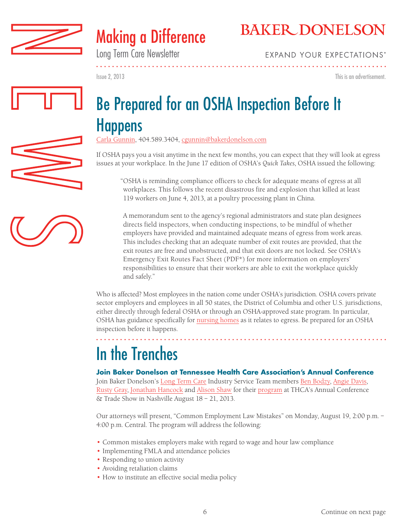



Long Term Care Newsletter

**EXPAND YOUR EXPECTATIONS'** 

Issue 2, 2013

This is an advertisement.

. . . . . . . . . . . . . . . .

# Be Prepared for an OSHA Inspection Before It **Happens**

[Carla Gunnin,](http://www.bakerdonelson.com/carla-j-gunnin/) 404.589.3404, cgunnin@bakerdonelson.com

If OSHA pays you a visit anytime in the next few months, you can expect that they will look at egress issues at your workplace. In the June 17 edition of OSHA's *Quick Takes*, OSHA issued the following:

"OSHA is reminding compliance officers to check for adequate means of egress at all workplaces. This follows the recent disastrous fire and explosion that killed at least 119 workers on June 4, 2013, at a poultry processing plant in China.

A memorandum sent to the agency's regional administrators and state plan designees directs field inspectors, when conducting inspections, to be mindful of whether employers have provided and maintained adequate means of egress from work areas. This includes checking that an adequate number of exit routes are provided, that the exit routes are free and unobstructed, and that exit doors are not locked. See OSHA's Emergency Exit Routes Fact Sheet (PDF\*) for more information on employers' responsibilities to ensure that their workers are able to exit the workplace quickly and safely."

Who is affected? Most employees in the nation come under OSHA's jurisdiction. OSHA covers private sector employers and employees in all 50 states, the District of Columbia and other U.S. jurisdictions, either directly through federal OSHA or through an OSHA-approved state program. In particular, OSHA has guidance specifically for [nursing homes](https://www.osha.gov/SLTC/etools/nursinghome/nurses/nurse.html#egressissues) as it relates to egress. Be prepared for an OSHA inspection before it happens.

# In the Trenches

#### **Join Baker Donelson at Tennessee Health Care Association's Annual Conference**

Join Baker Donelson's [Long Term Care](http://www.bakerdonelson.com/long-term-care-sub-practice-areas/) Industry Service Team members [Ben Bodzy](http://www.bakerdonelson.com/ben-h-bodzy/), [Angie Davis,](http://www.bakerdonelson.com/angie-davis/) [Rusty Gray](http://www.bakerdonelson.com/russell-w-gray/), [Jonathan Hancock](http://www.bakerdonelson.com/jonathan-cromwell-hancock/) and [Alison Shaw](http://www.bakerdonelson.com/alison-t-shaw/) for their [program](http://www.thca.org/docs/2013Brochure.pdf) at THCA's Annual Conference & Trade Show in Nashville August 18 – 21, 2013.

Our attorneys will present, "Common Employment Law Mistakes" on Monday, August 19, 2:00 p.m. – 4:00 p.m. Central. The program will address the following:

- Common mistakes employers make with regard to wage and hour law compliance
- Implementing FMLA and attendance policies
- Responding to union activity
- Avoiding retaliation claims
- How to institute an effective social media policy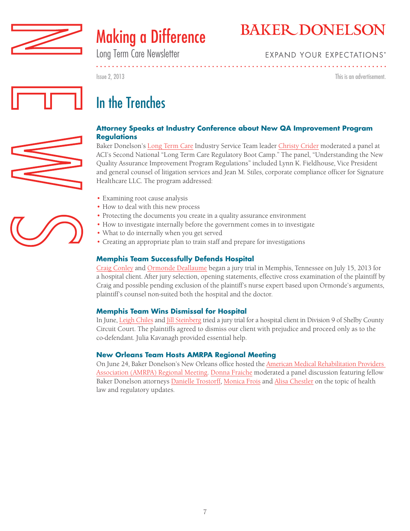



Long Term Care Newsletter

### **EXPAND YOUR EXPECTATIONS®**

Issue 2, 2013 This is an advertisement.





### **Attorney Speaks at Industry Conference about New QA Improvement Program Regulations**

Baker Donelson's [Long Term Care](http://www.bakerdonelson.com/long-term-care-sub-practice-areas/) Industry Service Team leader [Christy Crider](http://www.bakerdonelson.com/christy-t-crider/) moderated a panel at ACI's Second National "Long Term Care Regulatory Boot Camp." The panel, "Understanding the New Quality Assurance Improvement Program Regulations" included Lynn K. Fieldhouse, Vice President and general counsel of litigation services and Jean M. Stiles, corporate compliance officer for Signature Healthcare LLC. The program addressed:

- Examining root cause analysis
- How to deal with this new process
- Protecting the documents you create in a quality assurance environment
- How to investigate internally before the government comes in to investigate
- What to do internally when you get served
- Creating an appropriate plan to train staff and prepare for investigations

### **Memphis Team Successfully Defends Hospital**

[Craig Conley](http://www.bakerdonelson.com/craig-creighton-conley/) and [Ormonde Deallaume](http://www.bakerdonelson.com/ormonde-b-deallaume/) began a jury trial in Memphis, Tennessee on July 15, 2013 for a hospital client. After jury selection, opening statements, effective cross examination of the plaintiff by Craig and possible pending exclusion of the plaintiff's nurse expert based upon Ormonde's arguments, plaintiff's counsel non-suited both the hospital and the doctor.

#### **Memphis Team Wins Dismissal for Hospital**

In June, [Leigh Chiles](http://www.bakerdonelson.com/leigh-m-chiles/) and [Jill Steinberg](http://www.bakerdonelson.com/jill-menuskin-steinberg/) tried a jury trial for a hospital client in Division 9 of Shelby County Circuit Court. The plaintiffs agreed to dismiss our client with prejudice and proceed only as to the co-defendant. Julia Kavanagh provided essential help.

#### **New Orleans Team Hosts AMRPA Regional Meeting**

On June 24, Baker Donelson's New Orleans office hosted the [American Medical Rehabilitation Providers](http://www.bakerdonelson.com/amrpa-regional-meeting-06-24-2013/) [Association \(AMRPA\) Regional Meeting.](http://www.bakerdonelson.com/amrpa-regional-meeting-06-24-2013/) [Donna Fraiche](http://www.bakerdonelson.com/donna-fraiche/) moderated a panel discussion featuring fellow Baker Donelson attorneys [Danielle Trostorff](http://www.bakerdonelson.com/danielle-trostorff/), [Monica Frois](http://www.bakerdonelson.com/monica-a-frois/) and [Alisa Chestler](http://www.bakerdonelson.com/alisa-l-chestler/) on the topic of health law and regulatory updates.